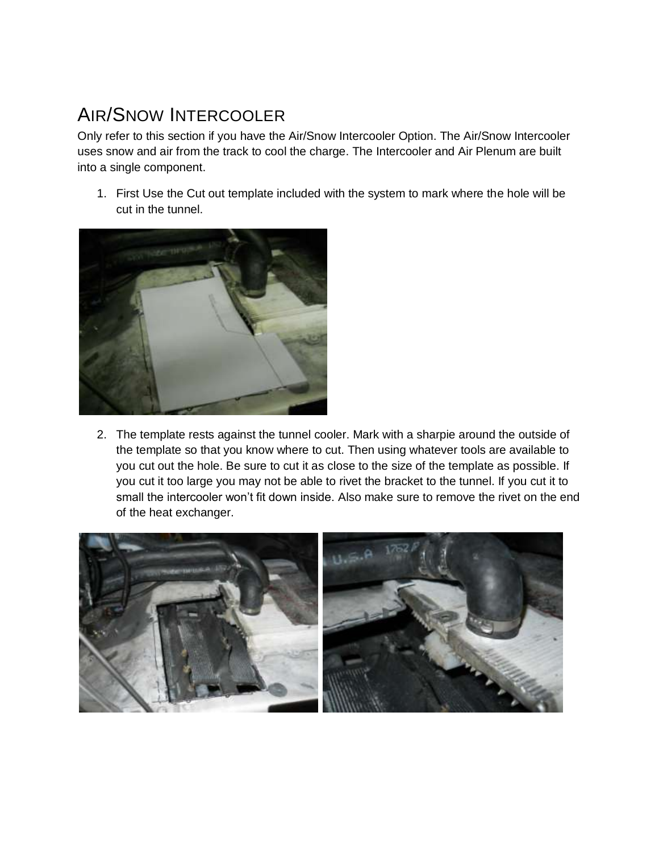## AIR/SNOW INTERCOOLER

Only refer to this section if you have the Air/Snow Intercooler Option. The Air/Snow Intercooler uses snow and air from the track to cool the charge. The Intercooler and Air Plenum are built into a single component.

1. First Use the Cut out template included with the system to mark where the hole will be cut in the tunnel.



2. The template rests against the tunnel cooler. Mark with a sharpie around the outside of the template so that you know where to cut. Then using whatever tools are available to you cut out the hole. Be sure to cut it as close to the size of the template as possible. If you cut it too large you may not be able to rivet the bracket to the tunnel. If you cut it to small the intercooler won't fit down inside. Also make sure to remove the rivet on the end of the heat exchanger.

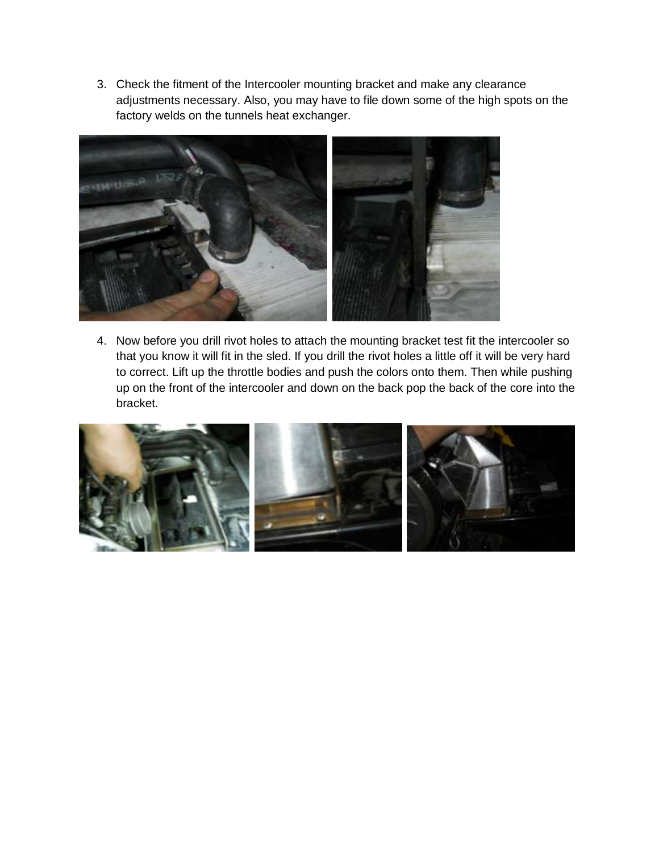3. Check the fitment of the Intercooler mounting bracket and make any clearance adjustments necessary. Also, you may have to file down some of the high spots on the factory welds on the tunnels heat exchanger.



4. Now before you drill rivot holes to attach the mounting bracket test fit the intercooler so that you know it will fit in the sled. If you drill the rivot holes a little off it will be very hard to correct. Lift up the throttle bodies and push the colors onto them. Then while pushing up on the front of the intercooler and down on the back pop the back of the core into the bracket.